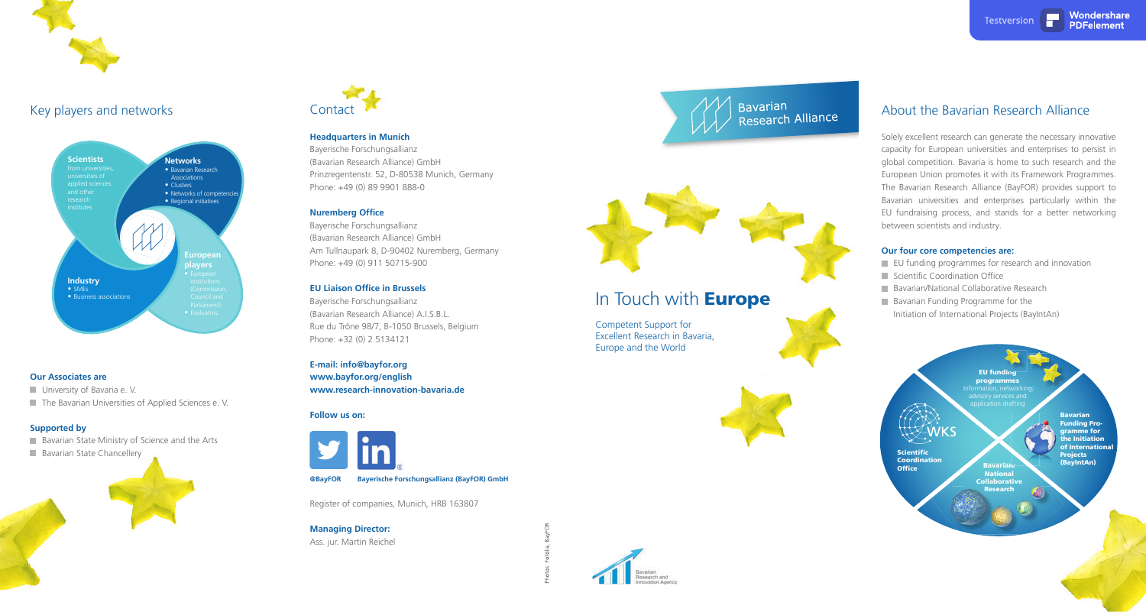

### Key players and networks

Bavarian<br>Scientific<br>Scientific<br>Oordination<br>Office<br>Office<br>Office<br>Savarian/Bavarian<br>(BayIntA Bavarian<br>Funding Programme for the Initiation of International Projects (BayIntAn)

EU funding programmes

**Scientific Coordination**<br>**Office** 



Bavarian/ National Collaborative Research

Competent Support for Excellent Research in Bavaria, Europe and the World







### **Headquarters in Munich**

Bayerische Forschungsallianz (Bavarian Research Alliance) GmbH Prinzregentenstr. 52, D-80538 Munich, Germany Phone: +49 (0) 89 9901 888-0

### **Nuremberg Office**

Bayerische Forschungsallianz (Bavarian Research Alliance) GmbH Am Tullnaupark 8, D-90402 Nuremberg, Germany Phone: +49 (0) 911 50715-900

### **EU Liaison Office in Brussels**

- **EU** funding programmes for research and innovation
- $\blacksquare$  Scientific Coordination Office
- **Bavarian/National Collaborative Research**
- **Bavarian Funding Programme for the** 
	- Initiation of International Projects (BayIntAn)

Bayerische Forschungsallianz (Bavarian Research Alliance) A.I.S.B.L. Rue du Trône 98/7, B-1050 Brussels, Belgium Phone: +32 (0) 2 5134121

**E-mail: info@bayfor.org www.bayfor.org/english www.research-innovation-bavaria.de**

### **Follow us on:**



Register of companies, Munich, HRB 163807

**Managing Director:** Ass. jur. Martin Reichel



# Research Alliance





# In Touch with **Europe**

### About the Bavarian Research Alliance

Solely excellent research can generate the necessary innovative capacity for European universities and enterprises to persist in global competition. Bavaria is home to such research and the European Union promotes it with its Framework Programmes. The Bavarian Research Alliance (BayFOR) provides support to Bavarian universities and enterprises particularly within the EU fundraising process, and stands for a better networking between scientists and industry.

### **Our four core competencies are:**

### **Our Associates are**

**University of Bavaria e. V.** 

The Bavarian Universities of Applied Sciences e. V.

### **Supported by**

**Bavarian State Ministry of Science and the Arts** 

**Bavarian State Chancellery** 



**@BayFO R Bayerische Forschungsallianz (BayFOR) GmbH**